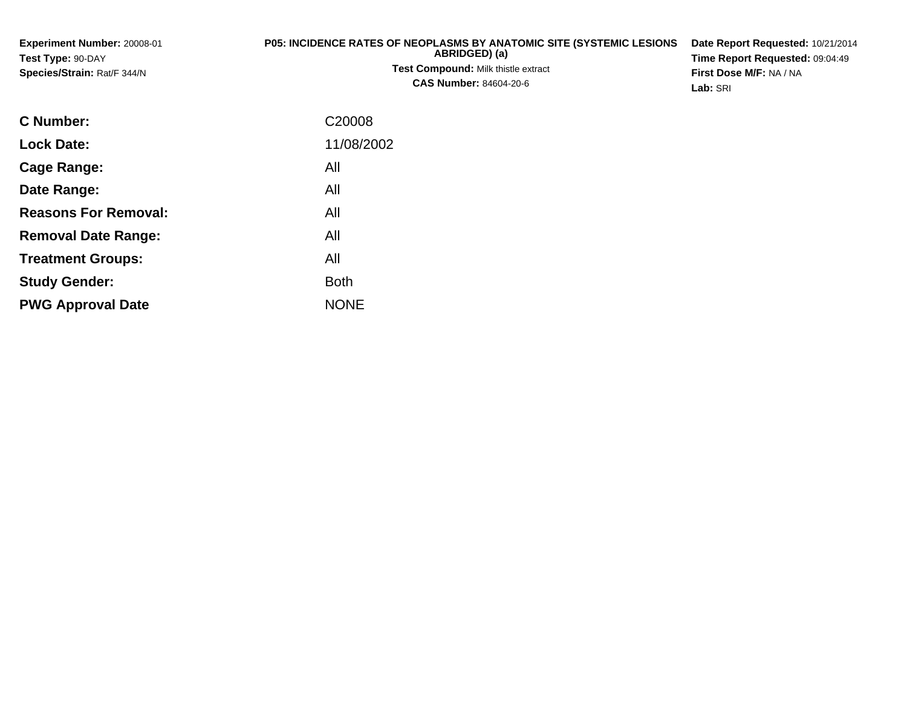| <b>Experiment Number: 20008-01</b><br>Test Type: 90-DAY<br><b>Species/Strain: Rat/F 344/N</b> | <b>P05: INCIDENCE RATES OF NEOPLASMS BY ANATOMIC SITE (SYSTEMIC LESIONS)</b><br>ABRIDGED) (a)<br><b>Test Compound: Milk thistle extract</b><br><b>CAS Number: 84604-20-6</b> | Date Report Requested: 10/21/2014<br><b>Time Report Requested: 09:04:49</b><br><b>First Dose M/F: NA / NA</b><br>Lab: SRI |
|-----------------------------------------------------------------------------------------------|------------------------------------------------------------------------------------------------------------------------------------------------------------------------------|---------------------------------------------------------------------------------------------------------------------------|
|                                                                                               |                                                                                                                                                                              |                                                                                                                           |

| <b>C</b> Number:            | C <sub>20008</sub> |
|-----------------------------|--------------------|
| <b>Lock Date:</b>           | 11/08/2002         |
| Cage Range:                 | All                |
| Date Range:                 | All                |
| <b>Reasons For Removal:</b> | All                |
| <b>Removal Date Range:</b>  | All                |
| <b>Treatment Groups:</b>    | All                |
| <b>Study Gender:</b>        | <b>Both</b>        |
| <b>PWG Approval Date</b>    | <b>NONE</b>        |
|                             |                    |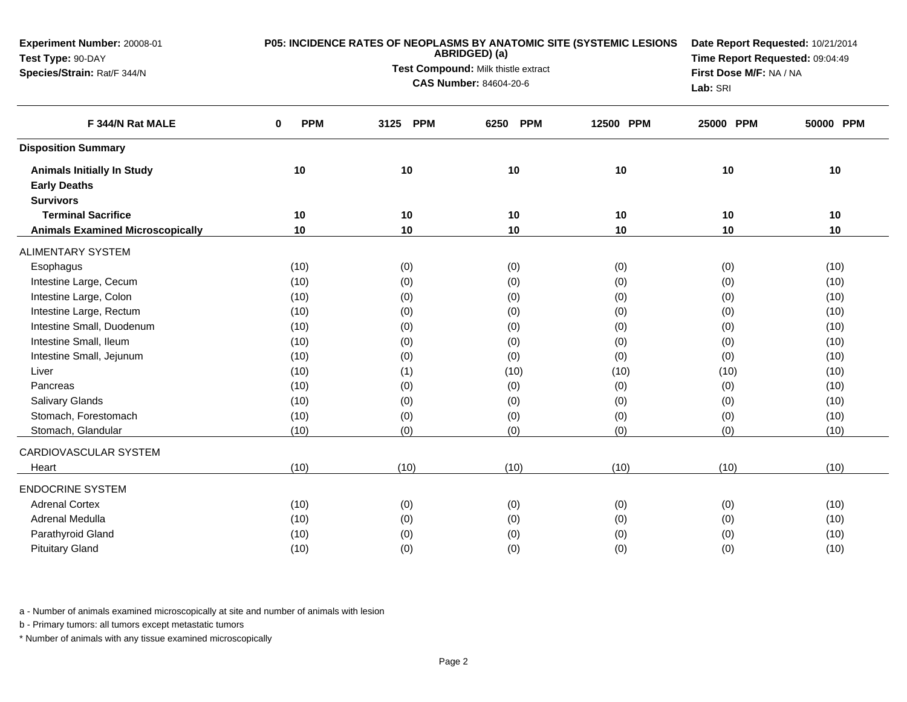| Experiment Number: 20008-01<br>Test Type: 90-DAY |                        | P05: INCIDENCE RATES OF NEOPLASMS BY ANATOMIC SITE (SYSTEMIC LESIONS<br>ABRIDGED) (a) | Date Report Requested: 10/21/2014<br>Time Report Requested: 09:04:49 |           |           |           |
|--------------------------------------------------|------------------------|---------------------------------------------------------------------------------------|----------------------------------------------------------------------|-----------|-----------|-----------|
| Species/Strain: Rat/F 344/N                      |                        | Test Compound: Milk thistle extract                                                   | First Dose M/F: NA / NA                                              |           |           |           |
|                                                  |                        | <b>CAS Number: 84604-20-6</b>                                                         |                                                                      | Lab: SRI  |           |           |
| F 344/N Rat MALE                                 | <b>PPM</b><br>$\bf{0}$ | <b>PPM</b><br>3125                                                                    | <b>PPM</b><br>6250                                                   | 12500 PPM | 25000 PPM | 50000 PPM |
| <b>Disposition Summary</b>                       |                        |                                                                                       |                                                                      |           |           |           |
| <b>Animals Initially In Study</b>                | 10                     | 10                                                                                    | 10                                                                   | 10        | 10        | 10        |
| <b>Early Deaths</b>                              |                        |                                                                                       |                                                                      |           |           |           |
| <b>Survivors</b>                                 |                        |                                                                                       |                                                                      |           |           |           |
| <b>Terminal Sacrifice</b>                        | 10                     | 10                                                                                    | 10                                                                   | 10        | 10        | 10        |
| <b>Animals Examined Microscopically</b>          | 10                     | 10                                                                                    | 10                                                                   | 10        | 10        | 10        |
| <b>ALIMENTARY SYSTEM</b>                         |                        |                                                                                       |                                                                      |           |           |           |
| Esophagus                                        | (10)                   | (0)                                                                                   | (0)                                                                  | (0)       | (0)       | (10)      |
| Intestine Large, Cecum                           | (10)                   | (0)                                                                                   | (0)                                                                  | (0)       | (0)       | (10)      |
| Intestine Large, Colon                           | (10)                   | (0)                                                                                   | (0)                                                                  | (0)       | (0)       | (10)      |
| Intestine Large, Rectum                          | (10)                   | (0)                                                                                   | (0)                                                                  | (0)       | (0)       | (10)      |
| Intestine Small, Duodenum                        | (10)                   | (0)                                                                                   | (0)                                                                  | (0)       | (0)       | (10)      |
| Intestine Small, Ileum                           | (10)                   | (0)                                                                                   | (0)                                                                  | (0)       | (0)       | (10)      |
| Intestine Small, Jejunum                         | (10)                   | (0)                                                                                   | (0)                                                                  | (0)       | (0)       | (10)      |
| Liver                                            | (10)                   | (1)                                                                                   | (10)                                                                 | (10)      | (10)      | (10)      |
| Pancreas                                         | (10)                   | (0)                                                                                   | (0)                                                                  | (0)       | (0)       | (10)      |
| <b>Salivary Glands</b>                           | (10)                   | (0)                                                                                   | (0)                                                                  | (0)       | (0)       | (10)      |
| Stomach, Forestomach                             | (10)                   | (0)                                                                                   | (0)                                                                  | (0)       | (0)       | (10)      |
| Stomach, Glandular                               | (10)                   | (0)                                                                                   | (0)                                                                  | (0)       | (0)       | (10)      |
| CARDIOVASCULAR SYSTEM                            |                        |                                                                                       |                                                                      |           |           |           |
| Heart                                            | (10)                   | (10)                                                                                  | (10)                                                                 | (10)      | (10)      | (10)      |
| <b>ENDOCRINE SYSTEM</b>                          |                        |                                                                                       |                                                                      |           |           |           |
| <b>Adrenal Cortex</b>                            | (10)                   | (0)                                                                                   | (0)                                                                  | (0)       | (0)       | (10)      |
| Adrenal Medulla                                  | (10)                   | (0)                                                                                   | (0)                                                                  | (0)       | (0)       | (10)      |
| Parathyroid Gland                                | (10)                   | (0)                                                                                   | (0)                                                                  | (0)       | (0)       | (10)      |
| <b>Pituitary Gland</b>                           | (10)                   | (0)                                                                                   | (0)                                                                  | (0)       | (0)       | (10)      |

b - Primary tumors: all tumors except metastatic tumors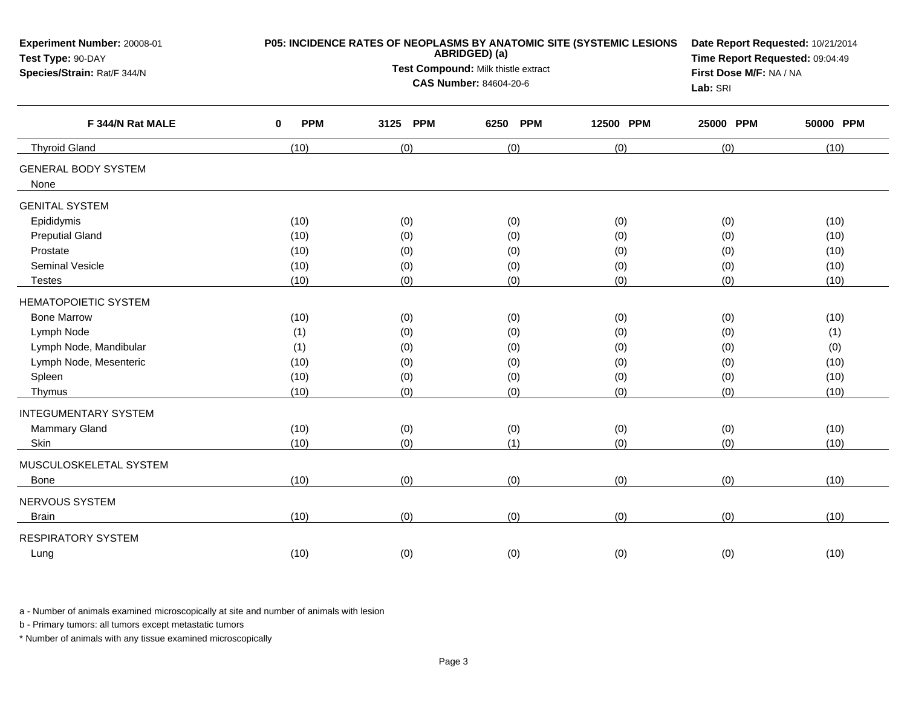| Experiment Number: 20008-01<br>Test Type: 90-DAY | P05: INCIDENCE RATES OF NEOPLASMS BY ANATOMIC SITE (SYSTEMIC LESIONS | Date Report Requested: 10/21/2014<br>Time Report Requested: 09:04:49 |                         |           |           |           |
|--------------------------------------------------|----------------------------------------------------------------------|----------------------------------------------------------------------|-------------------------|-----------|-----------|-----------|
| Species/Strain: Rat/F 344/N                      |                                                                      | Test Compound: Milk thistle extract                                  | First Dose M/F: NA / NA |           |           |           |
|                                                  |                                                                      | <b>CAS Number: 84604-20-6</b>                                        |                         | Lab: SRI  |           |           |
| F 344/N Rat MALE                                 | <b>PPM</b><br>$\mathbf 0$                                            | 3125 PPM                                                             | <b>PPM</b><br>6250      | 12500 PPM | 25000 PPM | 50000 PPM |
| <b>Thyroid Gland</b>                             | (10)                                                                 | (0)                                                                  | (0)                     | (0)       | (0)       | (10)      |
| <b>GENERAL BODY SYSTEM</b><br>None               |                                                                      |                                                                      |                         |           |           |           |
| <b>GENITAL SYSTEM</b>                            |                                                                      |                                                                      |                         |           |           |           |
| Epididymis                                       | (10)                                                                 | (0)                                                                  | (0)                     | (0)       | (0)       | (10)      |
| <b>Preputial Gland</b>                           | (10)                                                                 | (0)                                                                  | (0)                     | (0)       | (0)       | (10)      |
| Prostate                                         | (10)                                                                 | (0)                                                                  | (0)                     | (0)       | (0)       | (10)      |
| <b>Seminal Vesicle</b>                           | (10)                                                                 | (0)                                                                  | (0)                     | (0)       | (0)       | (10)      |
| <b>Testes</b>                                    | (10)                                                                 | (0)                                                                  | (0)                     | (0)       | (0)       | (10)      |
| <b>HEMATOPOIETIC SYSTEM</b>                      |                                                                      |                                                                      |                         |           |           |           |
| <b>Bone Marrow</b>                               | (10)                                                                 | (0)                                                                  | (0)                     | (0)       | (0)       | (10)      |
| Lymph Node                                       | (1)                                                                  | (0)                                                                  | (0)                     | (0)       | (0)       | (1)       |
| Lymph Node, Mandibular                           | (1)                                                                  | (0)                                                                  | (0)                     | (0)       | (0)       | (0)       |
| Lymph Node, Mesenteric                           | (10)                                                                 | (0)                                                                  | (0)                     | (0)       | (0)       | (10)      |
| Spleen                                           | (10)                                                                 | (0)                                                                  | (0)                     | (0)       | (0)       | (10)      |
| Thymus                                           | (10)                                                                 | (0)                                                                  | (0)                     | (0)       | (0)       | (10)      |
| <b>INTEGUMENTARY SYSTEM</b>                      |                                                                      |                                                                      |                         |           |           |           |
| Mammary Gland                                    | (10)                                                                 | (0)                                                                  | (0)                     | (0)       | (0)       | (10)      |
| Skin                                             | (10)                                                                 | (0)                                                                  | (1)                     | (0)       | (0)       | (10)      |
| MUSCULOSKELETAL SYSTEM                           |                                                                      |                                                                      |                         |           |           |           |
| Bone                                             | (10)                                                                 | (0)                                                                  | (0)                     | (0)       | (0)       | (10)      |
| NERVOUS SYSTEM                                   |                                                                      |                                                                      |                         |           |           |           |
| <b>Brain</b>                                     | (10)                                                                 | (0)                                                                  | (0)                     | (0)       | (0)       | (10)      |
| <b>RESPIRATORY SYSTEM</b>                        |                                                                      |                                                                      |                         |           |           |           |
| Lung                                             | (10)                                                                 | (0)                                                                  | (0)                     | (0)       | (0)       | (10)      |
|                                                  |                                                                      |                                                                      |                         |           |           |           |

b - Primary tumors: all tumors except metastatic tumors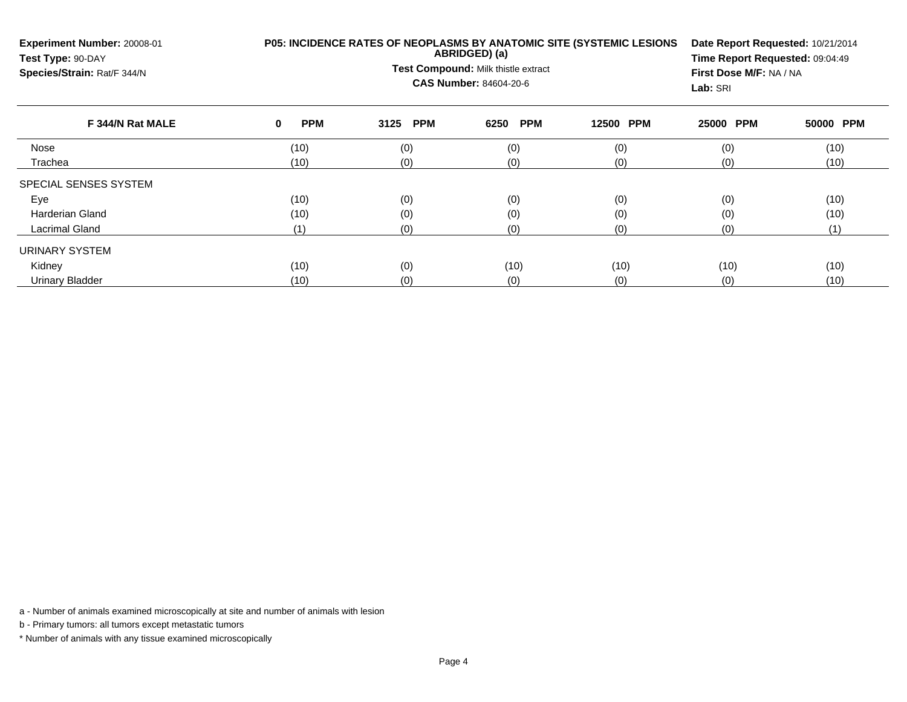| Experiment Number: 20008-01<br>Test Type: 90-DAY<br>Species/Strain: Rat/F 344/N |                           | P05: INCIDENCE RATES OF NEOPLASMS BY ANATOMIC SITE (SYSTEMIC LESIONS<br>ABRIDGED) (a)<br>Test Compound: Milk thistle extract<br><b>CAS Number: 84604-20-6</b> | Date Report Requested: 10/21/2014<br>Time Report Requested: 09:04:49<br>First Dose M/F: NA / NA<br>Lab: SRI |                     |           |           |
|---------------------------------------------------------------------------------|---------------------------|---------------------------------------------------------------------------------------------------------------------------------------------------------------|-------------------------------------------------------------------------------------------------------------|---------------------|-----------|-----------|
| F 344/N Rat MALE                                                                | <b>PPM</b><br>$\mathbf 0$ | <b>PPM</b><br>3125                                                                                                                                            | <b>PPM</b><br>6250                                                                                          | <b>PPM</b><br>12500 | 25000 PPM | 50000 PPM |
| Nose                                                                            | (10)                      | (0)                                                                                                                                                           | (0)                                                                                                         | (0)                 | (0)       | (10)      |
| Trachea                                                                         | (10)                      | (0)                                                                                                                                                           | (0)                                                                                                         | (0)                 | (0)       | (10)      |
| SPECIAL SENSES SYSTEM                                                           |                           |                                                                                                                                                               |                                                                                                             |                     |           |           |
| Eye                                                                             | (10)                      | (0)                                                                                                                                                           | (0)                                                                                                         | (0)                 | (0)       | (10)      |
| <b>Harderian Gland</b>                                                          | (10)                      | (0)                                                                                                                                                           | (0)                                                                                                         | (0)                 | (0)       | (10)      |
| Lacrimal Gland                                                                  | (1)                       | (0)                                                                                                                                                           | (0)                                                                                                         | (0)                 | (0)       | (1)       |
| <b>URINARY SYSTEM</b>                                                           |                           |                                                                                                                                                               |                                                                                                             |                     |           |           |
| Kidney                                                                          | (10)                      | (0)                                                                                                                                                           | (10)                                                                                                        | (10)                | (10)      | (10)      |
| <b>Urinary Bladder</b>                                                          | (10)                      | (0)                                                                                                                                                           | (0)<br>(0)                                                                                                  |                     | (0)       | (10)      |

b - Primary tumors: all tumors except metastatic tumors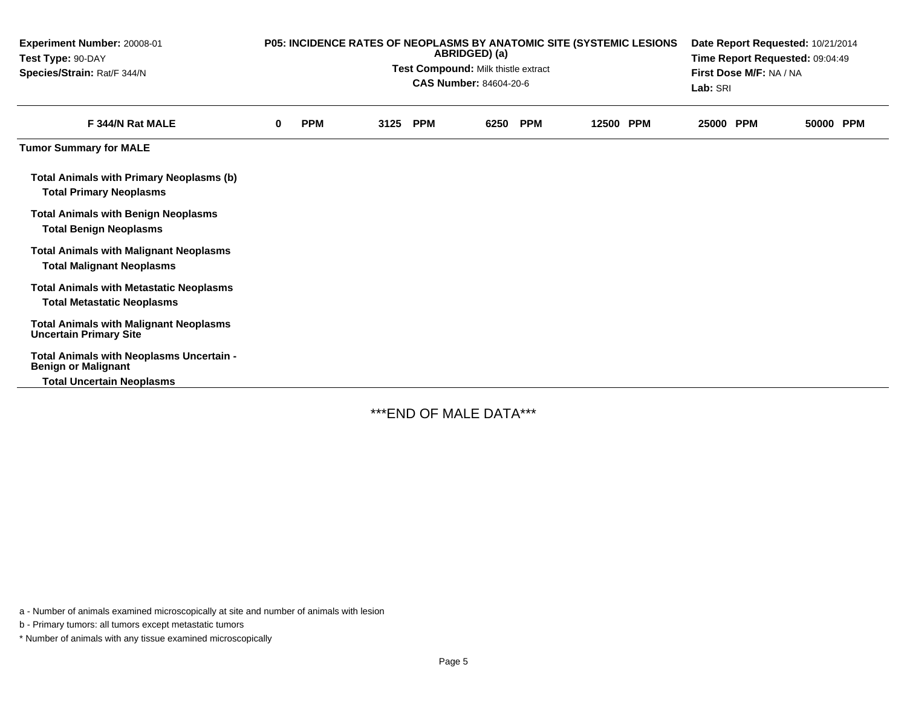| Experiment Number: 20008-01<br>Test Type: 90-DAY<br>Species/Strain: Rat/F 344/N                            | P05: INCIDENCE RATES OF NEOPLASMS BY ANATOMIC SITE (SYSTEMIC LESIONS<br>ABRIDGED) (a)<br>Test Compound: Milk thistle extract<br><b>CAS Number: 84604-20-6</b> |            |      |            |      |            | Date Report Requested: 10/21/2014<br>Time Report Requested: 09:04:49<br>First Dose M/F: NA / NA<br>Lab: SRI |           |  |           |  |
|------------------------------------------------------------------------------------------------------------|---------------------------------------------------------------------------------------------------------------------------------------------------------------|------------|------|------------|------|------------|-------------------------------------------------------------------------------------------------------------|-----------|--|-----------|--|
| F 344/N Rat MALE                                                                                           | $\bf{0}$                                                                                                                                                      | <b>PPM</b> | 3125 | <b>PPM</b> | 6250 | <b>PPM</b> | <b>PPM</b><br>12500                                                                                         | 25000 PPM |  | 50000 PPM |  |
| <b>Tumor Summary for MALE</b>                                                                              |                                                                                                                                                               |            |      |            |      |            |                                                                                                             |           |  |           |  |
| <b>Total Animals with Primary Neoplasms (b)</b><br><b>Total Primary Neoplasms</b>                          |                                                                                                                                                               |            |      |            |      |            |                                                                                                             |           |  |           |  |
| <b>Total Animals with Benign Neoplasms</b><br><b>Total Benign Neoplasms</b>                                |                                                                                                                                                               |            |      |            |      |            |                                                                                                             |           |  |           |  |
| <b>Total Animals with Malignant Neoplasms</b><br><b>Total Malignant Neoplasms</b>                          |                                                                                                                                                               |            |      |            |      |            |                                                                                                             |           |  |           |  |
| <b>Total Animals with Metastatic Neoplasms</b><br><b>Total Metastatic Neoplasms</b>                        |                                                                                                                                                               |            |      |            |      |            |                                                                                                             |           |  |           |  |
| <b>Total Animals with Malignant Neoplasms</b><br><b>Uncertain Primary Site</b>                             |                                                                                                                                                               |            |      |            |      |            |                                                                                                             |           |  |           |  |
| Total Animals with Neoplasms Uncertain -<br><b>Benign or Malignant</b><br><b>Total Uncertain Neoplasms</b> |                                                                                                                                                               |            |      |            |      |            |                                                                                                             |           |  |           |  |

\*\*\*END OF MALE DATA\*\*\*

a - Number of animals examined microscopically at site and number of animals with lesion

b - Primary tumors: all tumors except metastatic tumors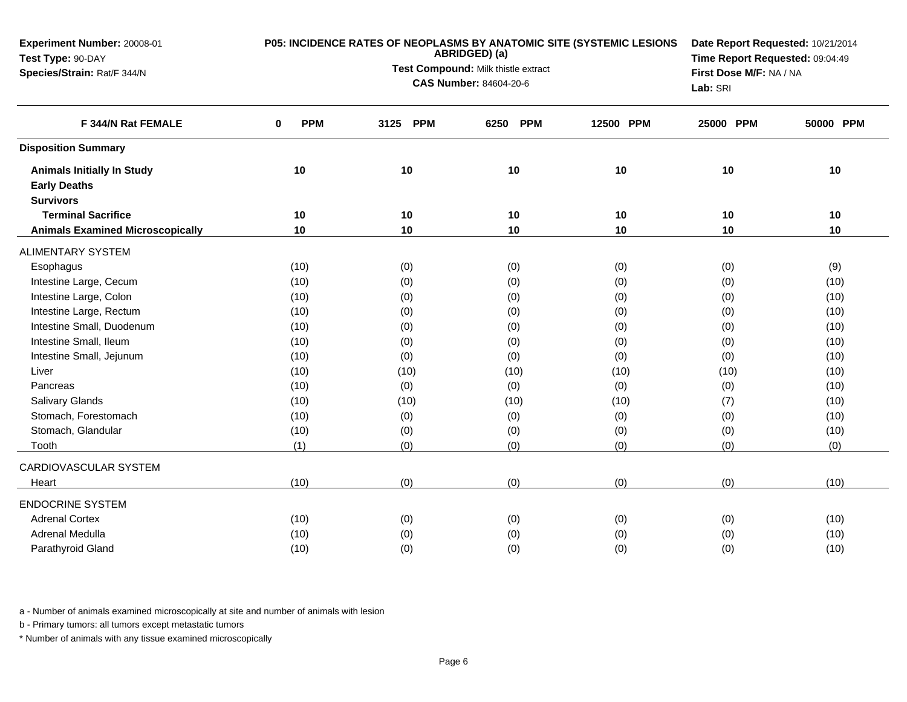| Experiment Number: 20008-01<br>Test Type: 90-DAY |                 | P05: INCIDENCE RATES OF NEOPLASMS BY ANATOMIC SITE (SYSTEMIC LESIONS<br>ABRIDGED) (a) | Date Report Requested: 10/21/2014<br>Time Report Requested: 09:04:49 |                                     |           |           |
|--------------------------------------------------|-----------------|---------------------------------------------------------------------------------------|----------------------------------------------------------------------|-------------------------------------|-----------|-----------|
| Species/Strain: Rat/F 344/N                      |                 | Test Compound: Milk thistle extract                                                   |                                                                      |                                     |           |           |
|                                                  |                 | <b>CAS Number: 84604-20-6</b>                                                         |                                                                      | First Dose M/F: NA / NA<br>Lab: SRI |           |           |
| F 344/N Rat FEMALE                               | <b>PPM</b><br>0 | <b>PPM</b><br>3125                                                                    | <b>PPM</b><br>6250                                                   | 12500 PPM                           | 25000 PPM | 50000 PPM |
| <b>Disposition Summary</b>                       |                 |                                                                                       |                                                                      |                                     |           |           |
| <b>Animals Initially In Study</b>                | 10              | 10                                                                                    | 10                                                                   | 10                                  | 10        | 10        |
| <b>Early Deaths</b>                              |                 |                                                                                       |                                                                      |                                     |           |           |
| <b>Survivors</b>                                 |                 |                                                                                       |                                                                      |                                     |           |           |
| <b>Terminal Sacrifice</b>                        | 10              | 10                                                                                    | 10                                                                   | 10                                  | 10        | 10        |
| <b>Animals Examined Microscopically</b>          | 10              | 10                                                                                    | 10                                                                   | 10                                  | 10        | 10        |
| <b>ALIMENTARY SYSTEM</b>                         |                 |                                                                                       |                                                                      |                                     |           |           |
| Esophagus                                        | (10)            | (0)                                                                                   | (0)                                                                  | (0)                                 | (0)       | (9)       |
| Intestine Large, Cecum                           | (10)            | (0)                                                                                   | (0)                                                                  | (0)                                 | (0)       | (10)      |
| Intestine Large, Colon                           | (10)            | (0)                                                                                   | (0)                                                                  | (0)                                 | (0)       | (10)      |
| Intestine Large, Rectum                          | (10)            | (0)                                                                                   | (0)                                                                  | (0)                                 | (0)       | (10)      |
| Intestine Small, Duodenum                        | (10)            | (0)                                                                                   | (0)                                                                  | (0)                                 | (0)       | (10)      |
| Intestine Small, Ileum                           | (10)            | (0)                                                                                   | (0)                                                                  | (0)                                 | (0)       | (10)      |
| Intestine Small, Jejunum                         | (10)            | (0)                                                                                   | (0)                                                                  | (0)                                 | (0)       | (10)      |
| Liver                                            | (10)            | (10)                                                                                  | (10)                                                                 | (10)                                | (10)      | (10)      |
| Pancreas                                         | (10)            | (0)                                                                                   | (0)                                                                  | (0)                                 | (0)       | (10)      |
| <b>Salivary Glands</b>                           | (10)            | (10)                                                                                  | (10)                                                                 | (10)                                | (7)       | (10)      |
| Stomach, Forestomach                             | (10)            | (0)                                                                                   | (0)                                                                  | (0)                                 | (0)       | (10)      |
| Stomach, Glandular                               | (10)            | (0)                                                                                   | (0)                                                                  | (0)                                 | (0)       | (10)      |
| Tooth                                            | (1)             | (0)                                                                                   | (0)                                                                  | (0)                                 | (0)       | (0)       |
| CARDIOVASCULAR SYSTEM                            |                 |                                                                                       |                                                                      |                                     |           |           |
| Heart                                            | (10)            | (0)                                                                                   | (0)                                                                  | (0)                                 | (0)       | (10)      |
| <b>ENDOCRINE SYSTEM</b>                          |                 |                                                                                       |                                                                      |                                     |           |           |
| <b>Adrenal Cortex</b>                            | (10)            | (0)                                                                                   | (0)                                                                  | (0)                                 | (0)       | (10)      |
| Adrenal Medulla                                  | (10)            | (0)                                                                                   | (0)                                                                  | (0)                                 | (0)       | (10)      |
| Parathyroid Gland                                | (10)            | (0)                                                                                   | (0)                                                                  | (0)                                 | (0)       | (10)      |

b - Primary tumors: all tumors except metastatic tumors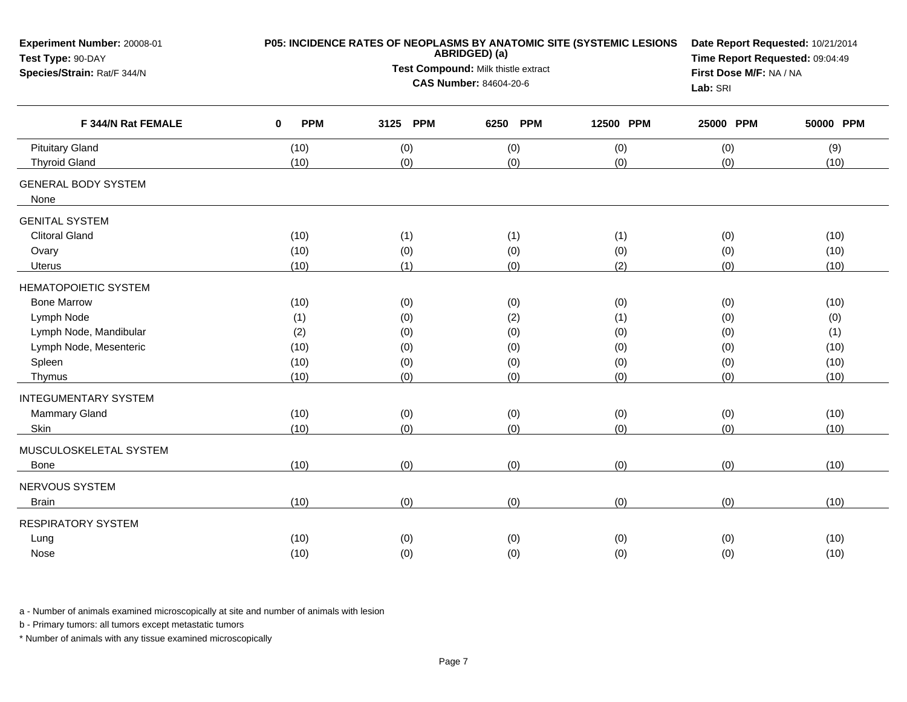|                        | Date Report Requested: 10/21/2014<br>Time Report Requested: 09:04:49 |                    |                                                                                                            |                                                                                           |                                                     |
|------------------------|----------------------------------------------------------------------|--------------------|------------------------------------------------------------------------------------------------------------|-------------------------------------------------------------------------------------------|-----------------------------------------------------|
|                        |                                                                      |                    |                                                                                                            |                                                                                           |                                                     |
|                        |                                                                      |                    |                                                                                                            | Lab: SRI                                                                                  |                                                     |
| <b>PPM</b><br>$\bf{0}$ | <b>PPM</b><br>3125                                                   | <b>PPM</b><br>6250 | 12500 PPM                                                                                                  | 25000 PPM                                                                                 | 50000 PPM                                           |
| (10)                   | (0)                                                                  | (0)                | (0)                                                                                                        | (0)                                                                                       | (9)                                                 |
| (10)                   | (0)                                                                  | (0)                | (0)                                                                                                        | (0)                                                                                       | (10)                                                |
|                        |                                                                      |                    |                                                                                                            |                                                                                           |                                                     |
|                        |                                                                      |                    |                                                                                                            |                                                                                           |                                                     |
| (10)                   | (1)                                                                  | (1)                | (1)                                                                                                        |                                                                                           | (10)                                                |
| (10)                   | (0)                                                                  | (0)                | (0)                                                                                                        | (0)                                                                                       | (10)                                                |
| (10)                   | (1)                                                                  | (0)                | (2)                                                                                                        | (0)                                                                                       | (10)                                                |
|                        |                                                                      |                    |                                                                                                            |                                                                                           |                                                     |
| (10)                   | (0)                                                                  | (0)                | (0)                                                                                                        | (0)                                                                                       | (10)                                                |
| (1)                    | (0)                                                                  | (2)                | (1)                                                                                                        | (0)                                                                                       | (0)                                                 |
| (2)                    | (0)                                                                  | (0)                | (0)                                                                                                        | (0)                                                                                       | (1)                                                 |
| (10)                   | (0)                                                                  | (0)                | (0)                                                                                                        | (0)                                                                                       | (10)                                                |
| (10)                   | (0)                                                                  | (0)                | (0)                                                                                                        | (0)                                                                                       | (10)                                                |
| (10)                   | (0)                                                                  | (0)                | (0)                                                                                                        | (0)                                                                                       | (10)                                                |
|                        |                                                                      |                    |                                                                                                            |                                                                                           |                                                     |
| (10)                   |                                                                      |                    |                                                                                                            |                                                                                           | (10)                                                |
| (10)                   | (0)                                                                  | (0)                | (0)                                                                                                        | (0)                                                                                       | (10)                                                |
|                        |                                                                      |                    |                                                                                                            |                                                                                           |                                                     |
| (10)                   | (0)                                                                  | (0)                | (0)                                                                                                        | (0)                                                                                       | (10)                                                |
|                        |                                                                      |                    |                                                                                                            |                                                                                           |                                                     |
| (10)                   | (0)                                                                  | (0)                | (0)                                                                                                        | (0)                                                                                       | (10)                                                |
|                        |                                                                      |                    |                                                                                                            |                                                                                           |                                                     |
|                        |                                                                      |                    |                                                                                                            |                                                                                           | (10)                                                |
|                        |                                                                      |                    |                                                                                                            |                                                                                           | (10)                                                |
|                        | (10)<br>(10)                                                         | (0)<br>(0)<br>(0)  | ABRIDGED) (a)<br>Test Compound: Milk thistle extract<br><b>CAS Number: 84604-20-6</b><br>(0)<br>(0)<br>(0) | P05: INCIDENCE RATES OF NEOPLASMS BY ANATOMIC SITE (SYSTEMIC LESIONS<br>(0)<br>(0)<br>(0) | First Dose M/F: NA / NA<br>(0)<br>(0)<br>(0)<br>(0) |

b - Primary tumors: all tumors except metastatic tumors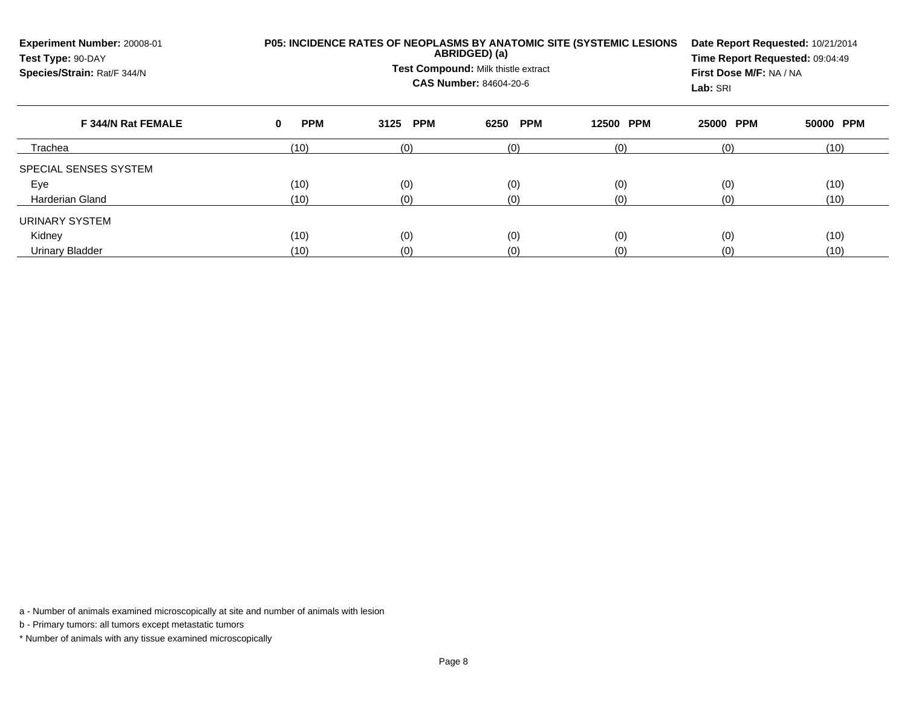| Experiment Number: 20008-01<br>Test Type: 90-DAY<br>Species/Strain: Rat/F 344/N |                 | P05: INCIDENCE RATES OF NEOPLASMS BY ANATOMIC SITE (SYSTEMIC LESIONS<br>ABRIDGED) (a)<br>Test Compound: Milk thistle extract<br>CAS Number: 84604-20-6 |                    |                     |           |           |  |  |  |  |
|---------------------------------------------------------------------------------|-----------------|--------------------------------------------------------------------------------------------------------------------------------------------------------|--------------------|---------------------|-----------|-----------|--|--|--|--|
| F 344/N Rat FEMALE                                                              | <b>PPM</b><br>0 | <b>PPM</b><br>3125                                                                                                                                     | <b>PPM</b><br>6250 | <b>PPM</b><br>12500 | 25000 PPM | 50000 PPM |  |  |  |  |
| Trachea                                                                         | (10)            | (0)                                                                                                                                                    | (0)                | (0)                 | (0)       | (10)      |  |  |  |  |
| SPECIAL SENSES SYSTEM                                                           |                 |                                                                                                                                                        |                    |                     |           |           |  |  |  |  |
| Eye                                                                             | (10)            | (0)                                                                                                                                                    | (0)                | (0)                 | (0)       | (10)      |  |  |  |  |
| <b>Harderian Gland</b>                                                          | (10)            | (0)                                                                                                                                                    | (0)                | (0)                 | (0)       | (10)      |  |  |  |  |
| URINARY SYSTEM                                                                  |                 |                                                                                                                                                        |                    |                     |           |           |  |  |  |  |
| Kidney                                                                          | (10)            | (0)                                                                                                                                                    | (0)                | (0)                 | (0)       | (10)      |  |  |  |  |
| <b>Urinary Bladder</b>                                                          | (10)            | (0)                                                                                                                                                    | (0)                | (0)                 | (0)       | (10)      |  |  |  |  |

b - Primary tumors: all tumors except metastatic tumors